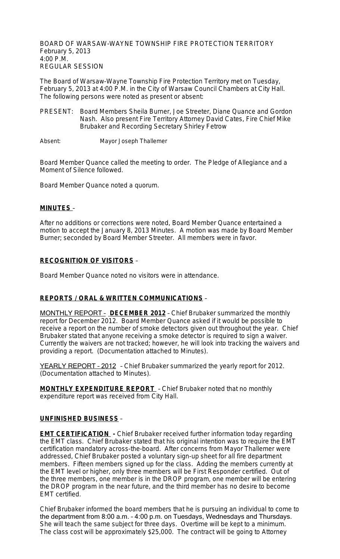BOARD OF WARSAW-WAYNE TOWNSHIP FIRE PROTECTION TERRITORY February 5, 2013 4:00 P.M. REGULAR SESSION

The Board of Warsaw-Wayne Township Fire Protection Territory met on Tuesday, February 5, 2013 at 4:00 P.M. in the City of Warsaw Council Chambers at City Hall. The following persons were noted as present or absent:

PRESENT: Board Members Sheila Burner, Joe Streeter, Diane Quance and Gordon Nash. Also present Fire Territory Attorney David Cates, Fire Chief Mike Brubaker and Recording Secretary Shirley Fetrow

Absent: Mayor Joseph Thallemer

Board Member Quance called the meeting to order. The Pledge of Allegiance and a Moment of Silence followed.

Board Member Quance noted a quorum.

### **MINUTES** –

After no additions or corrections were noted, Board Member Quance entertained a motion to accept the January 8, 2013 Minutes. A motion was made by Board Member Burner; seconded by Board Member Streeter. All members were in favor.

### **RECOGNITION OF VISITORS** –

Board Member Quance noted no visitors were in attendance.

### **REPORTS / ORAL & WRITTEN COMMUNICATIONS** –

MONTHLY REPORT – **DECEMBER 2012** – Chief Brubaker summarized the monthly report for December 2012. Board Member Quance asked if it would be possible to receive a report on the number of smoke detectors given out throughout the year. Chief Brubaker stated that anyone receiving a smoke detector is required to sign a waiver. Currently the waivers are not tracked; however, he will look into tracking the waivers and providing a report. (Documentation attached to Minutes).

YEARLY REPORT - 2012 - Chief Brubaker summarized the yearly report for 2012. (Documentation attached to Minutes).

**MONTHLY EXPENDITURE REPORT** – Chief Brubaker noted that no monthly expenditure report was received from City Hall.

### **UNFINISHED BUSINESS** –

**EMT CERTIFICATION** - Chief Brubaker received further information today regarding the EMT class. Chief Brubaker stated that his original intention was to require the EMT certification mandatory across-the-board. After concerns from Mayor Thallemer were addressed, Chief Brubaker posted a voluntary sign-up sheet for all fire department members. Fifteen members signed up for the class. Adding the members currently at the EMT level or higher, only three members will be First Responder certified. Out of the three members, one member is in the DROP program, one member will be entering the DROP program in the near future, and the third member has no desire to become EMT certified.

Chief Brubaker informed the board members that he is pursuing an individual to come to the department from 8:00 a.m. – 4:00 p.m. on Tuesdays, Wednesdays and Thursdays. She will teach the same subject for three days. Overtime will be kept to a minimum. The class cost will be approximately \$25,000. The contract will be going to Attorney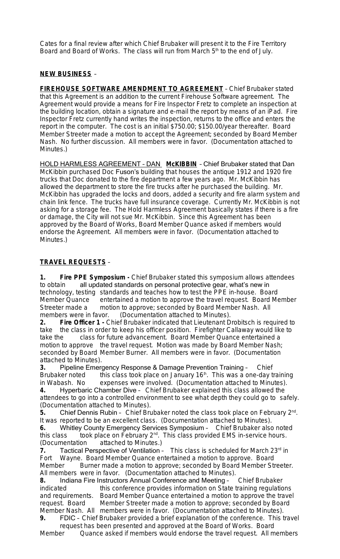Cates for a final review after which Chief Brubaker will present it to the Fire Territory Board and Board of Works. The class will run from March 5<sup>th</sup> to the end of July.

# **NEW BUSINESS** –

**FIREHOUSE SOFTWARE AMENDMENT TO AGREEMENT** – Chief Brubaker stated that this Agreement is an addition to the current Firehouse Software agreement. The Agreement would provide a means for Fire Inspector Fretz to complete an inspection at the building location, obtain a signature and e-mail the report by means of an iPad. Fire Inspector Fretz currently hand writes the inspection, returns to the office and enters the report in the computer. The cost is an initial \$750.00; \$150.00/year thereafter. Board Member Streeter made a motion to accept the Agreement; seconded by Board Member Nash. No further discussion. All members were in favor. (Documentation attached to Minutes.)

HOLD HARMLESS AGREEMENT – DAN **McKIBBIN** – Chief Brubaker stated that Dan McKibbin purchased Doc Fuson's building that houses the antique 1912 and 1920 fire trucks that Doc donated to the fire department a few years ago. Mr. McKibbin has allowed the department to store the fire trucks after he purchased the building. Mr. McKibbin has upgraded the locks and doors, added a security and fire alarm system and chain link fence. The trucks have full insurance coverage. Currently Mr. McKibbin is not asking for a storage fee. The Hold Harmless Agreement basically states if there is a fire or damage, the City will not sue Mr. McKibbin. Since this Agreement has been approved by the Board of Works, Board Member Quance asked if members would endorse the Agreement. All members were in favor. (Documentation attached to Minutes.)

## **TRAVEL REQUESTS** –

**1. Fire PPE Symposium -** Chief Brubaker stated this symposium allows attendees to obtain all updated standards on personal protective gear, what's new in technology, testing standards and teaches how to test the PPE in-house. Board Member Quance entertained a motion to approve the travel request. Board Member Streeter made a motion to approve; seconded by Board Member Nash. All members were in favor. (Documentation attached to Minutes).

**2. Fire Officer 1 -** Chief Brubaker indicated that Lieutenant Drobitsch is required to take the class in order to keep his officer position. Firefighter Callaway would like to take the class for future advancement. Board Member Quance entertained a motion to approve the travel request. Motion was made by Board Member Nash; seconded by Board Member Burner. All members were in favor. (Documentation attached to Minutes).

**3.** Pipeline Emergency Response & Damage Prevention Training - Chief Brubaker noted this class took place on January 16<sup>th</sup>. This was a one-day to this class took place on January 16<sup>th</sup>. This was a one-day training in Wabash. No expenses were involved. (Documentation attached to Minutes). **4.** Hyperbaric Chamber Dive – Chief Brubaker explained this class allowed the attendees to go into a controlled environment to see what depth they could go to safely. (Documentation attached to Minutes).

5. Chief Dennis Rubin - Chief Brubaker noted the class took place on February 2<sup>nd</sup>. It was reported to be an excellent class. (Documentation attached to Minutes).

**6.** Whitley County Emergency Services Symposium – Chief Brubaker also noted this class took place on February  $2^{nd}$ . This class provided EMS in-service hours. (Documentation attached to Minutes.)

**7.** Tactical Perspective of Ventilation - This class is scheduled for March 23<sup>rd</sup> in Fort Wayne. Board Member Quance entertained a motion to approve. Board Member Burner made a motion to approve; seconded by Board Member Streeter. All members were in favor. (Documentation attached to Minutes).

**8.** Indiana Fire Instructors Annual Conference and Meeting – Chief Brubaker indicated this conference provides information on State training regulations and requirements. Board Member Quance entertained a motion to approve the travel request. Board Member Streeter made a motion to approve; seconded by Board Member Nash. All members were in favor. (Documentation attached to Minutes).

**9.** FDIC – Chief Brubaker provided a brief explanation of the conference. This travel request has been presented and approved at the Board of Works. Board

Member Quance asked if members would endorse the travel request. All members